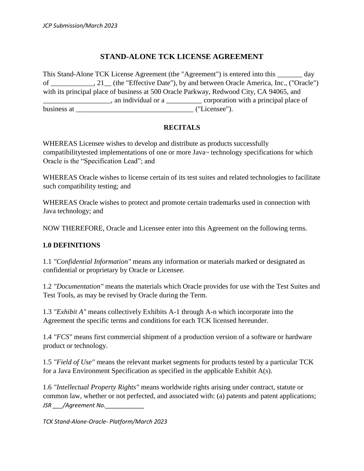## **STAND-ALONE TCK LICENSE AGREEMENT**

This Stand-Alone TCK License Agreement (the "Agreement") is entered into this \_\_\_\_\_\_\_ day of \_\_\_\_\_\_\_\_\_\_\_\_, 21\_\_ (the "Effective Date"), by and between Oracle America, Inc., ("Oracle") with its principal place of business at 500 Oracle Parkway, Redwood City, CA 94065, and \_\_\_\_\_\_\_\_\_\_\_\_\_\_\_\_\_\_\_, an individual or a \_\_\_\_\_\_\_\_\_\_ corporation with a principal place of business at \_\_\_\_\_\_\_\_\_\_\_\_\_\_\_\_\_\_\_\_\_\_\_\_\_\_\_\_\_\_\_\_\_ ("Licensee").

### **RECITALS**

WHEREAS Licensee wishes to develop and distribute as products successfully compatibility tested implementations of one or more Java $\mathbb{N}$  technology specifications for which Oracle is the "Specification Lead"; and

WHEREAS Oracle wishes to license certain of its test suites and related technologies to facilitate such compatibility testing; and

WHEREAS Oracle wishes to protect and promote certain trademarks used in connection with Java technology; and

NOW THEREFORE, Oracle and Licensee enter into this Agreement on the following terms.

#### **1.0 DEFINITIONS**

1.1 *"Confidential Information"* means any information or materials marked or designated as confidential or proprietary by Oracle or Licensee.

1.2 *"Documentation"* means the materials which Oracle provides for use with the Test Suites and Test Tools, as may be revised by Oracle during the Term.

1.3 *"Exhibit A"* means collectively Exhibits A-1 through A-n which incorporate into the Agreement the specific terms and conditions for each TCK licensed hereunder.

1.4 *"FCS"* means first commercial shipment of a production version of a software or hardware product or technology.

1.5 *"Field of Use"* means the relevant market segments for products tested by a particular TCK for a Java Environment Specification as specified in the applicable Exhibit A(s).

*JSR \_\_\_/Agreement No.\_\_\_\_\_\_\_\_\_\_\_\_*  1.6 *"Intellectual Property Rights"* means worldwide rights arising under contract, statute or common law, whether or not perfected, and associated with: (a) patents and patent applications;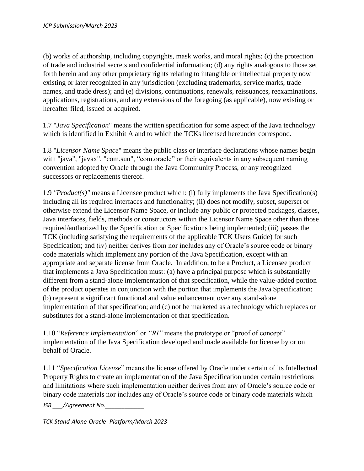(b) works of authorship, including copyrights, mask works, and moral rights; (c) the protection of trade and industrial secrets and confidential information; (d) any rights analogous to those set forth herein and any other proprietary rights relating to intangible or intellectual property now existing or later recognized in any jurisdiction (excluding trademarks, service marks, trade names, and trade dress); and (e) divisions, continuations, renewals, reissuances, reexaminations, applications, registrations, and any extensions of the foregoing (as applicable), now existing or hereafter filed, issued or acquired.

1.7 "*Java Specification*" means the written specification for some aspect of the Java technology which is identified in Exhibit A and to which the TCKs licensed hereunder correspond.

1.8 "*Licensor Name Space*" means the public class or interface declarations whose names begin with "java", "javax", "com.sun", "com.oracle" or their equivalents in any subsequent naming convention adopted by Oracle through the Java Community Process, or any recognized successors or replacements thereof.

1.9 *"Product(s)"* means a Licensee product which: (i) fully implements the Java Specification(s) including all its required interfaces and functionality; (ii) does not modify, subset, superset or otherwise extend the Licensor Name Space, or include any public or protected packages, classes, Java interfaces, fields, methods or constructors within the Licensor Name Space other than those required/authorized by the Specification or Specifications being implemented; (iii) passes the TCK (including satisfying the requirements of the applicable TCK Users Guide) for such Specification; and (iv) neither derives from nor includes any of Oracle's source code or binary code materials which implement any portion of the Java Specification, except with an appropriate and separate license from Oracle. In addition, to be a Product, a Licensee product that implements a Java Specification must: (a) have a principal purpose which is substantially different from a stand-alone implementation of that specification, while the value-added portion of the product operates in conjunction with the portion that implements the Java Specification; (b) represent a significant functional and value enhancement over any stand-alone implementation of that specification; and (c) not be marketed as a technology which replaces or substitutes for a stand-alone implementation of that specification.

1.10 "*Reference Implementation*" or *"RI"* means the prototype or "proof of concept" implementation of the Java Specification developed and made available for license by or on behalf of Oracle.

1.11 "*Specification License*" means the license offered by Oracle under certain of its Intellectual Property Rights to create an implementation of the Java Specification under certain restrictions and limitations where such implementation neither derives from any of Oracle's source code or binary code materials nor includes any of Oracle's source code or binary code materials which

*JSR \_\_\_/Agreement No.\_\_\_\_\_\_\_\_\_\_\_\_*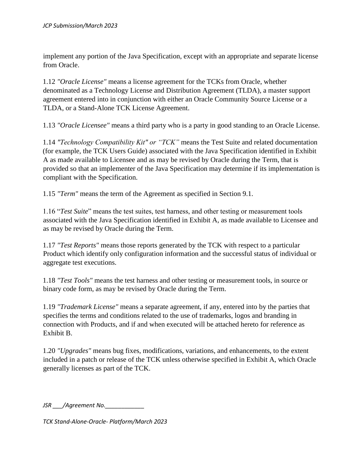implement any portion of the Java Specification, except with an appropriate and separate license from Oracle.

1.12 *"Oracle License"* means a license agreement for the TCKs from Oracle, whether denominated as a Technology License and Distribution Agreement (TLDA), a master support agreement entered into in conjunction with either an Oracle Community Source License or a TLDA, or a Stand-Alone TCK License Agreement.

1.13 *"Oracle Licensee"* means a third party who is a party in good standing to an Oracle License.

1.14 *"Technology Compatibility Kit" or "TCK"* means the Test Suite and related documentation (for example, the TCK Users Guide) associated with the Java Specification identified in Exhibit A as made available to Licensee and as may be revised by Oracle during the Term, that is provided so that an implementer of the Java Specification may determine if its implementation is compliant with the Specification.

1.15 *"Term"* means the term of the Agreement as specified in Section 9.1.

1.16 "*Test Suite*" means the test suites, test harness, and other testing or measurement tools associated with the Java Specification identified in Exhibit A, as made available to Licensee and as may be revised by Oracle during the Term.

1.17 *"Test Reports"* means those reports generated by the TCK with respect to a particular Product which identify only configuration information and the successful status of individual or aggregate test executions.

1.18 *"Test Tools"* means the test harness and other testing or measurement tools, in source or binary code form, as may be revised by Oracle during the Term.

1.19 *"Trademark License"* means a separate agreement, if any, entered into by the parties that specifies the terms and conditions related to the use of trademarks, logos and branding in connection with Products, and if and when executed will be attached hereto for reference as Exhibit B.

1.20 *"Upgrades"* means bug fixes, modifications, variations, and enhancements, to the extent included in a patch or release of the TCK unless otherwise specified in Exhibit A, which Oracle generally licenses as part of the TCK.

*JSR \_\_\_/Agreement No.\_\_\_\_\_\_\_\_\_\_\_\_*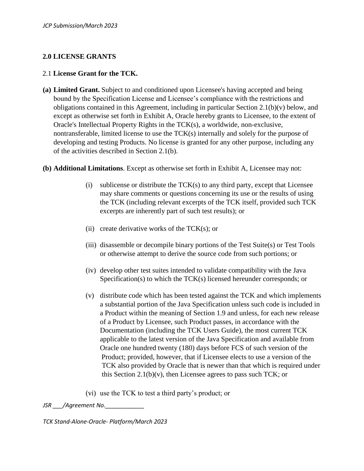#### **2.0 LICENSE GRANTS**

#### 2.1 **License Grant for the TCK.**

- **(a) Limited Grant.** Subject to and conditioned upon Licensee's having accepted and being bound by the Specification License and Licensee's compliance with the restrictions and obligations contained in this Agreement, including in particular Section 2.1(b)(v) below, and except as otherwise set forth in Exhibit A, Oracle hereby grants to Licensee, to the extent of Oracle's Intellectual Property Rights in the TCK(s), a worldwide, non-exclusive, nontransferable, limited license to use the TCK(s) internally and solely for the purpose of developing and testing Products. No license is granted for any other purpose, including any of the activities described in Section 2.1(b).
- **(b) Additional Limitations**. Except as otherwise set forth in Exhibit A, Licensee may not:
	- $(i)$  sublicense or distribute the TCK $(s)$  to any third party, except that Licensee may share comments or questions concerning its use or the results of using the TCK (including relevant excerpts of the TCK itself, provided such TCK excerpts are inherently part of such test results); or
	- (ii) create derivative works of the  $TCK(s)$ ; or
	- (iii) disassemble or decompile binary portions of the Test Suite(s) or Test Tools or otherwise attempt to derive the source code from such portions; or
	- (iv) develop other test suites intended to validate compatibility with the Java Specification(s) to which the TCK(s) licensed hereunder corresponds; or
	- (v) distribute code which has been tested against the TCK and which implements a substantial portion of the Java Specification unless such code is included in a Product within the meaning of Section 1.9 and unless, for each new release of a Product by Licensee, such Product passes, in accordance with the Documentation (including the TCK Users Guide), the most current TCK applicable to the latest version of the Java Specification and available from Oracle one hundred twenty (180) days before FCS of such version of the Product; provided, however, that if Licensee elects to use a version of the TCK also provided by Oracle that is newer than that which is required under this Section 2.1(b)(v), then Licensee agrees to pass such TCK; or
	- (vi) use the TCK to test a third party's product; or

*JSR \_\_\_/Agreement No.\_\_\_\_\_\_\_\_\_\_\_\_*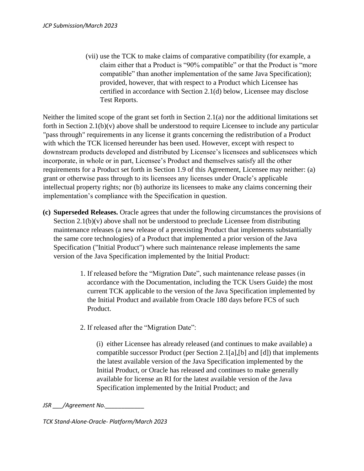(vii) use the TCK to make claims of comparative compatibility (for example, a claim either that a Product is "90% compatible" or that the Product is "more compatible" than another implementation of the same Java Specification); provided, however, that with respect to a Product which Licensee has certified in accordance with Section 2.1(d) below, Licensee may disclose Test Reports.

Neither the limited scope of the grant set forth in Section 2.1(a) nor the additional limitations set forth in Section 2.1(b)(v) above shall be understood to require Licensee to include any particular "pass through" requirements in any license it grants concerning the redistribution of a Product with which the TCK licensed hereunder has been used. However, except with respect to downstream products developed and distributed by Licensee's licensees and sublicensees which incorporate, in whole or in part, Licensee's Product and themselves satisfy all the other requirements for a Product set forth in Section 1.9 of this Agreement, Licensee may neither: (a) grant or otherwise pass through to its licensees any licenses under Oracle's applicable intellectual property rights; nor (b) authorize its licensees to make any claims concerning their implementation's compliance with the Specification in question.

- **(c) Superseded Releases.** Oracle agrees that under the following circumstances the provisions of Section 2.1(b)(v) above shall not be understood to preclude Licensee from distributing maintenance releases (a new release of a preexisting Product that implements substantially the same core technologies) of a Product that implemented a prior version of the Java Specification ("Initial Product") where such maintenance release implements the same version of the Java Specification implemented by the Initial Product:
	- 1. If released before the "Migration Date", such maintenance release passes (in accordance with the Documentation, including the TCK Users Guide) the most current TCK applicable to the version of the Java Specification implemented by the Initial Product and available from Oracle 180 days before FCS of such Product.
	- 2. If released after the "Migration Date":

(i) either Licensee has already released (and continues to make available) a compatible successor Product (per Section 2.1[a],[b] and [d]) that implements the latest available version of the Java Specification implemented by the Initial Product, or Oracle has released and continues to make generally available for license an RI for the latest available version of the Java Specification implemented by the Initial Product; and

*JSR \_\_\_/Agreement No.\_\_\_\_\_\_\_\_\_\_\_\_*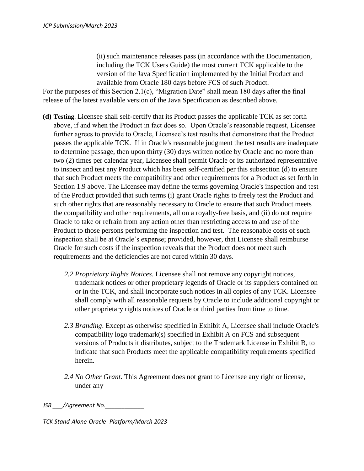(ii) such maintenance releases pass (in accordance with the Documentation, including the TCK Users Guide) the most current TCK applicable to the version of the Java Specification implemented by the Initial Product and available from Oracle 180 days before FCS of such Product.

For the purposes of this Section 2.1(c), "Migration Date" shall mean 180 days after the final release of the latest available version of the Java Specification as described above.

- **(d) Testing**. Licensee shall self-certify that its Product passes the applicable TCK as set forth above, if and when the Product in fact does so. Upon Oracle's reasonable request, Licensee further agrees to provide to Oracle, Licensee's test results that demonstrate that the Product passes the applicable TCK. If in Oracle's reasonable judgment the test results are inadequate to determine passage, then upon thirty (30) days written notice by Oracle and no more than two (2) times per calendar year, Licensee shall permit Oracle or its authorized representative to inspect and test any Product which has been self-certified per this subsection (d) to ensure that such Product meets the compatibility and other requirements for a Product as set forth in Section 1.9 above. The Licensee may define the terms governing Oracle's inspection and test of the Product provided that such terms (i) grant Oracle rights to freely test the Product and such other rights that are reasonably necessary to Oracle to ensure that such Product meets the compatibility and other requirements, all on a royalty-free basis, and (ii) do not require Oracle to take or refrain from any action other than restricting access to and use of the Product to those persons performing the inspection and test. The reasonable costs of such inspection shall be at Oracle's expense; provided, however, that Licensee shall reimburse Oracle for such costs if the inspection reveals that the Product does not meet such requirements and the deficiencies are not cured within 30 days.
	- *2.2 Proprietary Rights Notices*. Licensee shall not remove any copyright notices, trademark notices or other proprietary legends of Oracle or its suppliers contained on or in the TCK, and shall incorporate such notices in all copies of any TCK. Licensee shall comply with all reasonable requests by Oracle to include additional copyright or other proprietary rights notices of Oracle or third parties from time to time.
	- *2.3 Branding*. Except as otherwise specified in Exhibit A, Licensee shall include Oracle's compatibility logo trademark(s) specified in Exhibit A on FCS and subsequent versions of Products it distributes, subject to the Trademark License in Exhibit B, to indicate that such Products meet the applicable compatibility requirements specified herein.
	- *2.4 No Other Grant*. This Agreement does not grant to Licensee any right or license, under any
- *JSR \_\_\_/Agreement No.\_\_\_\_\_\_\_\_\_\_\_\_*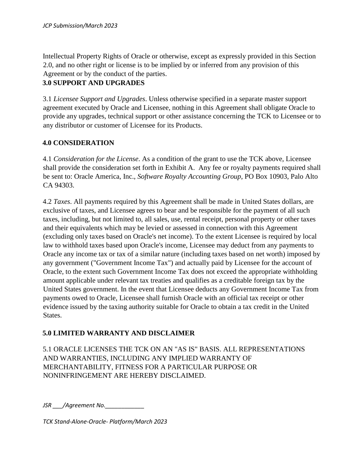Intellectual Property Rights of Oracle or otherwise, except as expressly provided in this Section 2.0, and no other right or license is to be implied by or inferred from any provision of this Agreement or by the conduct of the parties.

### **3.0 SUPPORT AND UPGRADES**

3.1 *Licensee Support and Upgrades*. Unless otherwise specified in a separate master support agreement executed by Oracle and Licensee, nothing in this Agreement shall obligate Oracle to provide any upgrades, technical support or other assistance concerning the TCK to Licensee or to any distributor or customer of Licensee for its Products.

### **4.0 CONSIDERATION**

4.1 *Consideration for the License*. As a condition of the grant to use the TCK above, Licensee shall provide the consideration set forth in Exhibit A. Any fee or royalty payments required shall be sent to: Oracle America, Inc., *Software Royalty Accounting Group*, PO Box 10903, Palo Alto CA 94303.

4.2 *Taxes*. All payments required by this Agreement shall be made in United States dollars, are exclusive of taxes, and Licensee agrees to bear and be responsible for the payment of all such taxes, including, but not limited to, all sales, use, rental receipt, personal property or other taxes and their equivalents which may be levied or assessed in connection with this Agreement (excluding only taxes based on Oracle's net income). To the extent Licensee is required by local law to withhold taxes based upon Oracle's income, Licensee may deduct from any payments to Oracle any income tax or tax of a similar nature (including taxes based on net worth) imposed by any government ("Government Income Tax") and actually paid by Licensee for the account of Oracle, to the extent such Government Income Tax does not exceed the appropriate withholding amount applicable under relevant tax treaties and qualifies as a creditable foreign tax by the United States government. In the event that Licensee deducts any Government Income Tax from payments owed to Oracle, Licensee shall furnish Oracle with an official tax receipt or other evidence issued by the taxing authority suitable for Oracle to obtain a tax credit in the United States.

## **5.0 LIMITED WARRANTY AND DISCLAIMER**

5.1 ORACLE LICENSES THE TCK ON AN "AS IS" BASIS. ALL REPRESENTATIONS AND WARRANTIES, INCLUDING ANY IMPLIED WARRANTY OF MERCHANTABILITY, FITNESS FOR A PARTICULAR PURPOSE OR NONINFRINGEMENT ARE HEREBY DISCLAIMED.

*JSR \_\_\_/Agreement No.\_\_\_\_\_\_\_\_\_\_\_\_*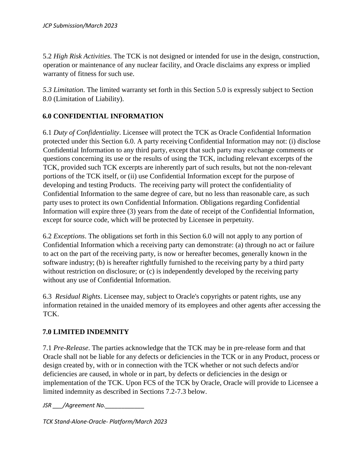5.2 *High Risk Activities*. The TCK is not designed or intended for use in the design, construction, operation or maintenance of any nuclear facility, and Oracle disclaims any express or implied warranty of fitness for such use.

*5.3 Limitation*. The limited warranty set forth in this Section 5.0 is expressly subject to Section 8.0 (Limitation of Liability).

## **6.0 CONFIDENTIAL INFORMATION**

6.1 *Duty of Confidentiality*. Licensee will protect the TCK as Oracle Confidential Information protected under this Section 6.0. A party receiving Confidential Information may not: (i) disclose Confidential Information to any third party, except that such party may exchange comments or questions concerning its use or the results of using the TCK, including relevant excerpts of the TCK, provided such TCK excerpts are inherently part of such results, but not the non-relevant portions of the TCK itself, or (ii) use Confidential Information except for the purpose of developing and testing Products. The receiving party will protect the confidentiality of Confidential Information to the same degree of care, but no less than reasonable care, as such party uses to protect its own Confidential Information. Obligations regarding Confidential Information will expire three (3) years from the date of receipt of the Confidential Information, except for source code, which will be protected by Licensee in perpetuity.

6.2 *Exceptions*. The obligations set forth in this Section 6.0 will not apply to any portion of Confidential Information which a receiving party can demonstrate: (a) through no act or failure to act on the part of the receiving party, is now or hereafter becomes, generally known in the software industry; (b) is hereafter rightfully furnished to the receiving party by a third party without restriction on disclosure; or (c) is independently developed by the receiving party without any use of Confidential Information.

6.3 *Residual Rights*. Licensee may, subject to Oracle's copyrights or patent rights, use any information retained in the unaided memory of its employees and other agents after accessing the TCK.

## **7.0 LIMITED INDEMNITY**

7.1 *Pre-Release*. The parties acknowledge that the TCK may be in pre-release form and that Oracle shall not be liable for any defects or deficiencies in the TCK or in any Product, process or design created by, with or in connection with the TCK whether or not such defects and/or deficiencies are caused, in whole or in part, by defects or deficiencies in the design or implementation of the TCK. Upon FCS of the TCK by Oracle, Oracle will provide to Licensee a limited indemnity as described in Sections 7.2-7.3 below.

*JSR \_\_\_/Agreement No.\_\_\_\_\_\_\_\_\_\_\_\_*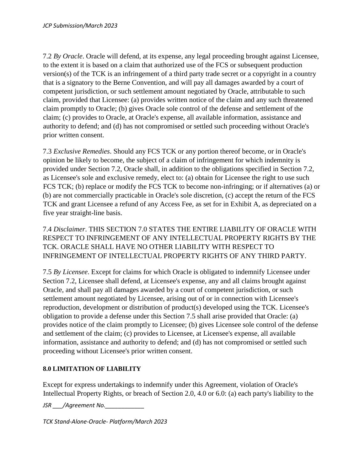7.2 *By Oracle*. Oracle will defend, at its expense, any legal proceeding brought against Licensee, to the extent it is based on a claim that authorized use of the FCS or subsequent production version(s) of the TCK is an infringement of a third party trade secret or a copyright in a country that is a signatory to the Berne Convention, and will pay all damages awarded by a court of competent jurisdiction, or such settlement amount negotiated by Oracle, attributable to such claim, provided that Licensee: (a) provides written notice of the claim and any such threatened claim promptly to Oracle; (b) gives Oracle sole control of the defense and settlement of the claim; (c) provides to Oracle, at Oracle's expense, all available information, assistance and authority to defend; and (d) has not compromised or settled such proceeding without Oracle's prior written consent.

7.3 *Exclusive Remedies*. Should any FCS TCK or any portion thereof become, or in Oracle's opinion be likely to become, the subject of a claim of infringement for which indemnity is provided under Section 7.2, Oracle shall, in addition to the obligations specified in Section 7.2, as Licensee's sole and exclusive remedy, elect to: (a) obtain for Licensee the right to use such FCS TCK; (b) replace or modify the FCS TCK to become non-infringing; or if alternatives (a) or (b) are not commercially practicable in Oracle's sole discretion, (c) accept the return of the FCS TCK and grant Licensee a refund of any Access Fee, as set for in Exhibit A, as depreciated on a five year straight-line basis.

7.4 *Disclaimer*. THIS SECTION 7.0 STATES THE ENTIRE LIABILITY OF ORACLE WITH RESPECT TO INFRINGEMENT OF ANY INTELLECTUAL PROPERTY RIGHTS BY THE TCK. ORACLE SHALL HAVE NO OTHER LIABILITY WITH RESPECT TO INFRINGEMENT OF INTELLECTUAL PROPERTY RIGHTS OF ANY THIRD PARTY.

7.5 *By Licensee*. Except for claims for which Oracle is obligated to indemnify Licensee under Section 7.2, Licensee shall defend, at Licensee's expense, any and all claims brought against Oracle, and shall pay all damages awarded by a court of competent jurisdiction, or such settlement amount negotiated by Licensee, arising out of or in connection with Licensee's reproduction, development or distribution of product(s) developed using the TCK. Licensee's obligation to provide a defense under this Section 7.5 shall arise provided that Oracle: (a) provides notice of the claim promptly to Licensee; (b) gives Licensee sole control of the defense and settlement of the claim; (c) provides to Licensee, at Licensee's expense, all available information, assistance and authority to defend; and (d) has not compromised or settled such proceeding without Licensee's prior written consent.

#### **8.0 LIMITATION OF LIABILITY**

Except for express undertakings to indemnify under this Agreement, violation of Oracle's Intellectual Property Rights, or breach of Section 2.0, 4.0 or 6.0: (a) each party's liability to the

*JSR \_\_\_/Agreement No.\_\_\_\_\_\_\_\_\_\_\_\_*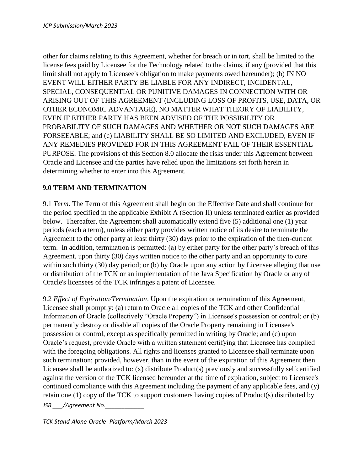other for claims relating to this Agreement, whether for breach or in tort, shall be limited to the license fees paid by Licensee for the Technology related to the claims, if any (provided that this limit shall not apply to Licensee's obligation to make payments owed hereunder); (b) IN NO EVENT WILL EITHER PARTY BE LIABLE FOR ANY INDIRECT, INCIDENTAL, SPECIAL, CONSEQUENTIAL OR PUNITIVE DAMAGES IN CONNECTION WITH OR ARISING OUT OF THIS AGREEMENT (INCLUDING LOSS OF PROFITS, USE, DATA, OR OTHER ECONOMIC ADVANTAGE), NO MATTER WHAT THEORY OF LIABILITY, EVEN IF EITHER PARTY HAS BEEN ADVISED OF THE POSSIBILITY OR PROBABILITY OF SUCH DAMAGES AND WHETHER OR NOT SUCH DAMAGES ARE FORSEEABLE; and (c) LIABILITY SHALL BE SO LIMITED AND EXCLUDED, EVEN IF ANY REMEDIES PROVIDED FOR IN THIS AGREEMENT FAIL OF THEIR ESSENTIAL PURPOSE. The provisions of this Section 8.0 allocate the risks under this Agreement between Oracle and Licensee and the parties have relied upon the limitations set forth herein in determining whether to enter into this Agreement.

## **9.0 TERM AND TERMINATION**

9.1 *Term*. The Term of this Agreement shall begin on the Effective Date and shall continue for the period specified in the applicable Exhibit A (Section II) unless terminated earlier as provided below. Thereafter, the Agreement shall automatically extend five (5) additional one (1) year periods (each a term), unless either party provides written notice of its desire to terminate the Agreement to the other party at least thirty (30) days prior to the expiration of the then-current term. In addition, termination is permitted: (a) by either party for the other party's breach of this Agreement, upon thirty (30) days written notice to the other party and an opportunity to cure within such thirty (30) day period; or (b) by Oracle upon any action by Licensee alleging that use or distribution of the TCK or an implementation of the Java Specification by Oracle or any of Oracle's licensees of the TCK infringes a patent of Licensee.

9.2 *Effect of Expiration/Termination*. Upon the expiration or termination of this Agreement, Licensee shall promptly: (a) return to Oracle all copies of the TCK and other Confidential Information of Oracle (collectively "Oracle Property") in Licensee's possession or control; or (b) permanently destroy or disable all copies of the Oracle Property remaining in Licensee's possession or control, except as specifically permitted in writing by Oracle; and (c) upon Oracle's request, provide Oracle with a written statement certifying that Licensee has complied with the foregoing obligations. All rights and licenses granted to Licensee shall terminate upon such termination; provided, however, than in the event of the expiration of this Agreement then Licensee shall be authorized to: (x) distribute Product(s) previously and successfully selfcertified against the version of the TCK licensed hereunder at the time of expiration, subject to Licensee's continued compliance with this Agreement including the payment of any applicable fees, and (y) retain one (1) copy of the TCK to support customers having copies of Product(s) distributed by

*JSR \_\_\_/Agreement No.\_\_\_\_\_\_\_\_\_\_\_\_*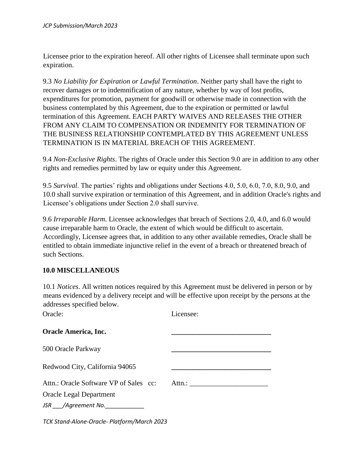Licensee prior to the expiration hereof. All other rights of Licensee shall terminate upon such expiration.

9.3 *No Liability for Expiration or Lawful Termination*. Neither party shall have the right to recover damages or to indemnification of any nature, whether by way of lost profits, expenditures for promotion, payment for goodwill or otherwise made in connection with the business contemplated by this Agreement, due to the expiration or permitted or lawful termination of this Agreement. EACH PARTY WAIVES AND RELEASES THE OTHER FROM ANY CLAIM TO COMPENSATION OR INDEMNITY FOR TERMINATION OF THE BUSINESS RELATIONSHIP CONTEMPLATED BY THIS AGREEMENT UNLESS TERMINATION IS IN MATERIAL BREACH OF THIS AGREEMENT.

9.4 *Non-Exclusive Rights*. The rights of Oracle under this Section 9.0 are in addition to any other rights and remedies permitted by law or equity under this Agreement.

9.5 *Survival*. The parties' rights and obligations under Sections 4.0, 5.0, 6.0, 7.0, 8.0, 9.0, and 10.0 shall survive expiration or termination of this Agreement, and in addition Oracle's rights and Licensee's obligations under Section 2.0 shall survive.

9.6 *Irreparable Harm*. Licensee acknowledges that breach of Sections 2.0, 4.0, and 6.0 would cause irreparable harm to Oracle, the extent of which would be difficult to ascertain. Accordingly, Licensee agrees that, in addition to any other available remedies, Oracle shall be entitled to obtain immediate injunctive relief in the event of a breach or threatened breach of such Sections.

#### **10.0 MISCELLANEOUS**

10.1 *Notices*. All written notices required by this Agreement must be delivered in person or by means evidenced by a delivery receipt and will be effective upon receipt by the persons at the addresses specified below.

| Oracle:                                     | Licensee:              |
|---------------------------------------------|------------------------|
| <b>Oracle America, Inc.</b>                 |                        |
| 500 Oracle Parkway                          |                        |
| Redwood City, California 94065              |                        |
| Attn.: Oracle Software VP of Sales cc:      | Attn.: $\qquad \qquad$ |
| <b>Oracle Legal Department</b>              |                        |
| JSR ___ /Agreement No.______________        |                        |
| TCK Stand-Alone-Oracle- Platform/March 2023 |                        |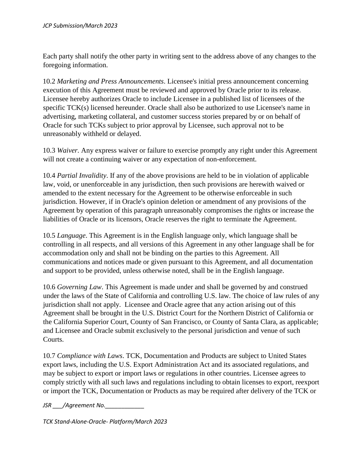Each party shall notify the other party in writing sent to the address above of any changes to the foregoing information.

10.2 *Marketing and Press Announcements*. Licensee's initial press announcement concerning execution of this Agreement must be reviewed and approved by Oracle prior to its release. Licensee hereby authorizes Oracle to include Licensee in a published list of licensees of the specific TCK(s) licensed hereunder. Oracle shall also be authorized to use Licensee's name in advertising, marketing collateral, and customer success stories prepared by or on behalf of Oracle for such TCKs subject to prior approval by Licensee, such approval not to be unreasonably withheld or delayed.

10.3 *Waiver.* Any express waiver or failure to exercise promptly any right under this Agreement will not create a continuing waiver or any expectation of non-enforcement.

10.4 *Partial Invalidity*. If any of the above provisions are held to be in violation of applicable law, void, or unenforceable in any jurisdiction, then such provisions are herewith waived or amended to the extent necessary for the Agreement to be otherwise enforceable in such jurisdiction. However, if in Oracle's opinion deletion or amendment of any provisions of the Agreement by operation of this paragraph unreasonably compromises the rights or increase the liabilities of Oracle or its licensors, Oracle reserves the right to terminate the Agreement.

10.5 *Language*. This Agreement is in the English language only, which language shall be controlling in all respects, and all versions of this Agreement in any other language shall be for accommodation only and shall not be binding on the parties to this Agreement. All communications and notices made or given pursuant to this Agreement, and all documentation and support to be provided, unless otherwise noted, shall be in the English language.

10.6 *Governing Law*. This Agreement is made under and shall be governed by and construed under the laws of the State of California and controlling U.S. law. The choice of law rules of any jurisdiction shall not apply. Licensee and Oracle agree that any action arising out of this Agreement shall be brought in the U.S. District Court for the Northern District of California or the California Superior Court, County of San Francisco, or County of Santa Clara, as applicable; and Licensee and Oracle submit exclusively to the personal jurisdiction and venue of such Courts.

10.7 *Compliance with Laws*. TCK, Documentation and Products are subject to United States export laws, including the U.S. Export Administration Act and its associated regulations, and may be subject to export or import laws or regulations in other countries. Licensee agrees to comply strictly with all such laws and regulations including to obtain licenses to export, reexport or import the TCK, Documentation or Products as may be required after delivery of the TCK or

*JSR \_\_\_/Agreement No.\_\_\_\_\_\_\_\_\_\_\_\_*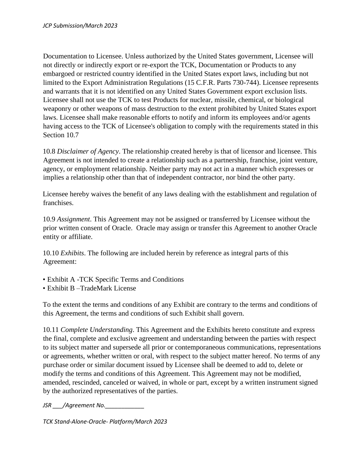Documentation to Licensee. Unless authorized by the United States government, Licensee will not directly or indirectly export or re-export the TCK, Documentation or Products to any embargoed or restricted country identified in the United States export laws, including but not limited to the Export Administration Regulations (15 C.F.R. Parts 730-744). Licensee represents and warrants that it is not identified on any United States Government export exclusion lists. Licensee shall not use the TCK to test Products for nuclear, missile, chemical, or biological weaponry or other weapons of mass destruction to the extent prohibited by United States export laws. Licensee shall make reasonable efforts to notify and inform its employees and/or agents having access to the TCK of Licensee's obligation to comply with the requirements stated in this Section 10.7

10.8 *Disclaimer of Agency*. The relationship created hereby is that of licensor and licensee. This Agreement is not intended to create a relationship such as a partnership, franchise, joint venture, agency, or employment relationship. Neither party may not act in a manner which expresses or implies a relationship other than that of independent contractor, nor bind the other party.

Licensee hereby waives the benefit of any laws dealing with the establishment and regulation of franchises.

10.9 *Assignment*. This Agreement may not be assigned or transferred by Licensee without the prior written consent of Oracle. Oracle may assign or transfer this Agreement to another Oracle entity or affiliate.

10.10 *Exhibits*. The following are included herein by reference as integral parts of this Agreement:

- Exhibit A -TCK Specific Terms and Conditions
- Exhibit B –TradeMark License

To the extent the terms and conditions of any Exhibit are contrary to the terms and conditions of this Agreement, the terms and conditions of such Exhibit shall govern.

10.11 *Complete Understanding*. This Agreement and the Exhibits hereto constitute and express the final, complete and exclusive agreement and understanding between the parties with respect to its subject matter and supersede all prior or contemporaneous communications, representations or agreements, whether written or oral, with respect to the subject matter hereof. No terms of any purchase order or similar document issued by Licensee shall be deemed to add to, delete or modify the terms and conditions of this Agreement. This Agreement may not be modified, amended, rescinded, canceled or waived, in whole or part, except by a written instrument signed by the authorized representatives of the parties.

*JSR \_\_\_/Agreement No.\_\_\_\_\_\_\_\_\_\_\_\_*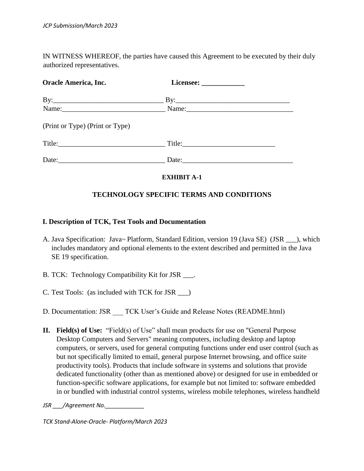IN WITNESS WHEREOF, the parties have caused this Agreement to be executed by their duly authorized representatives.

| <b>Oracle America, Inc.</b>     | Licensee: _______________                                                                                                                                                                                                     |
|---------------------------------|-------------------------------------------------------------------------------------------------------------------------------------------------------------------------------------------------------------------------------|
|                                 | By: $\qquad \qquad \qquad \text{By:}$                                                                                                                                                                                         |
|                                 | Name: Name: Name: Name: Name: Name: Name: Name: Name: Name: Name: Name: Name: Name: Name: Name: Name: Name: Name: Name: Name: Name: Name: Name: Name: Name: Name: Name: Name: Name: Name: Name: Name: Name: Name: Name: Name: |
| (Print or Type) (Print or Type) |                                                                                                                                                                                                                               |
|                                 |                                                                                                                                                                                                                               |
|                                 |                                                                                                                                                                                                                               |

**EXHIBIT A-1** 

### **TECHNOLOGY SPECIFIC TERMS AND CONDITIONS**

#### **I. Description of TCK, Test Tools and Documentation**

- A. Java Specification: Java<sup>™</sup> Platform, Standard Edition, version 19 (Java SE) (JSR ), which includes mandatory and optional elements to the extent described and permitted in the Java SE 19 specification.
- B. TCK: Technology Compatibility Kit for JSR \_\_\_.
- C. Test Tools: (as included with TCK for JSR \_\_\_)
- D. Documentation: JSR TCK User's Guide and Release Notes (README.html)
- **II. Field(s) of Use:** "Field(s) of Use" shall mean products for use on "General Purpose Desktop Computers and Servers" meaning computers, including desktop and laptop computers, or servers, used for general computing functions under end user control (such as but not specifically limited to email, general purpose Internet browsing, and office suite productivity tools). Products that include software in systems and solutions that provide dedicated functionality (other than as mentioned above) or designed for use in embedded or function-specific software applications, for example but not limited to: software embedded in or bundled with industrial control systems, wireless mobile telephones, wireless handheld

*JSR \_\_\_/Agreement No.\_\_\_\_\_\_\_\_\_\_\_\_*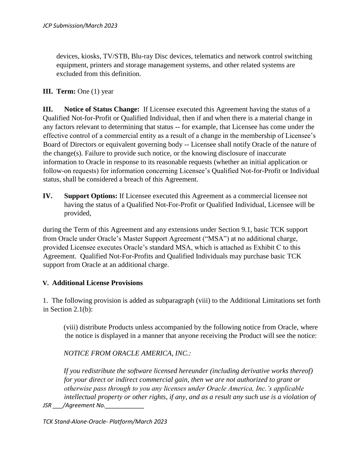devices, kiosks, TV/STB, Blu-ray Disc devices, telematics and network control switching equipment, printers and storage management systems, and other related systems are excluded from this definition.

### **III. Term:** One (1) year

**III. Notice of Status Change:** If Licensee executed this Agreement having the status of a Qualified Not-for-Profit or Qualified Individual, then if and when there is a material change in any factors relevant to determining that status -- for example, that Licensee has come under the effective control of a commercial entity as a result of a change in the membership of Licensee's Board of Directors or equivalent governing body -- Licensee shall notify Oracle of the nature of the change $(s)$ . Failure to provide such notice, or the knowing disclosure of inaccurate information to Oracle in response to its reasonable requests (whether an initial application or follow-on requests) for information concerning Licensee's Qualified Not-for-Profit or Individual status, shall be considered a breach of this Agreement.

**IV. Support Options:** If Licensee executed this Agreement as a commercial licensee not having the status of a Qualified Not-For-Profit or Qualified Individual, Licensee will be provided,

during the Term of this Agreement and any extensions under Section 9.1, basic TCK support from Oracle under Oracle's Master Support Agreement ("MSA") at no additional charge, provided Licensee executes Oracle's standard MSA, which is attached as Exhibit C to this Agreement. Qualified Not-For-Profits and Qualified Individuals may purchase basic TCK support from Oracle at an additional charge.

#### **V. Additional License Provisions**

1. The following provision is added as subparagraph (viii) to the Additional Limitations set forth in Section 2.1(b):

(viii) distribute Products unless accompanied by the following notice from Oracle, where the notice is displayed in a manner that anyone receiving the Product will see the notice:

*NOTICE FROM ORACLE AMERICA, INC.:* 

*JSR \_\_\_/Agreement No.\_\_\_\_\_\_\_\_\_\_\_\_ If you redistribute the software licensed hereunder (including derivative works thereof) for your direct or indirect commercial gain, then we are not authorized to grant or otherwise pass through to you any licenses under Oracle America, Inc.'s applicable intellectual property or other rights, if any, and as a result any such use is a violation of*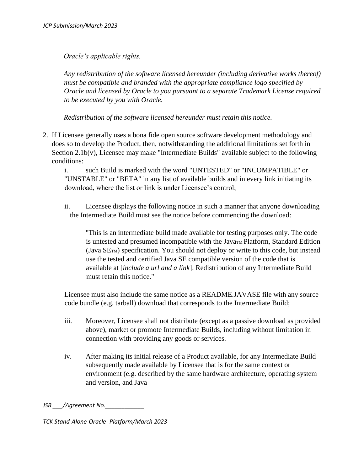*Oracle's applicable rights.* 

*Any redistribution of the software licensed hereunder (including derivative works thereof) must be compatible and branded with the appropriate compliance logo specified by Oracle and licensed by Oracle to you pursuant to a separate Trademark License required to be executed by you with Oracle.* 

*Redistribution of the software licensed hereunder must retain this notice.* 

2. If Licensee generally uses a bona fide open source software development methodology and does so to develop the Product, then, notwithstanding the additional limitations set forth in Section 2.1b(v), Licensee may make "Intermediate Builds" available subject to the following conditions:

i. such Build is marked with the word "UNTESTED" or "INCOMPATIBLE" or "UNSTABLE" or "BETA" in any list of available builds and in every link initiating its download, where the list or link is under Licensee's control;

ii. Licensee displays the following notice in such a manner that anyone downloading the Intermediate Build must see the notice before commencing the download:

"This is an intermediate build made available for testing purposes only. The code is untested and presumed incompatible with the Java $\pi$ M Platform, Standard Edition (Java SETM) specification. You should not deploy or write to this code, but instead use the tested and certified Java SE compatible version of the code that is available at [*include a url and a link*]. Redistribution of any Intermediate Build must retain this notice."

Licensee must also include the same notice as a README.JAVASE file with any source code bundle (e.g. tarball) download that corresponds to the Intermediate Build;

- iii. Moreover, Licensee shall not distribute (except as a passive download as provided above), market or promote Intermediate Builds, including without limitation in connection with providing any goods or services.
- iv. After making its initial release of a Product available, for any Intermediate Build subsequently made available by Licensee that is for the same context or environment (e.g. described by the same hardware architecture, operating system and version, and Java

*JSR \_\_\_/Agreement No.\_\_\_\_\_\_\_\_\_\_\_\_*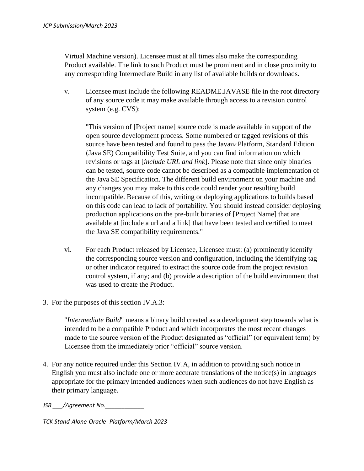Virtual Machine version). Licensee must at all times also make the corresponding Product available. The link to such Product must be prominent and in close proximity to any corresponding Intermediate Build in any list of available builds or downloads*.* 

v. Licensee must include the following README.JAVASE file in the root directory of any source code it may make available through access to a revision control system (e.g. CVS):

"This version of [Project name] source code is made available in support of the open source development process. Some numbered or tagged revisions of this source have been tested and found to pass the Java<sub>TM</sub> Platform, Standard Edition (Java SE) Compatibility Test Suite, and you can find information on which revisions or tags at [*include URL and link*]. Please note that since only binaries can be tested, source code cannot be described as a compatible implementation of the Java SE Specification. The different build environment on your machine and any changes you may make to this code could render your resulting build incompatible. Because of this, writing or deploying applications to builds based on this code can lead to lack of portability. You should instead consider deploying production applications on the pre-built binaries of [Project Name] that are available at [include a url and a link] that have been tested and certified to meet the Java SE compatibility requirements."

- vi. For each Product released by Licensee, Licensee must: (a) prominently identify the corresponding source version and configuration, including the identifying tag or other indicator required to extract the source code from the project revision control system, if any; and (b) provide a description of the build environment that was used to create the Product.
- 3. For the purposes of this section IV.A.3:

"*Intermediate Build*" means a binary build created as a development step towards what is intended to be a compatible Product and which incorporates the most recent changes made to the source version of the Product designated as "official" (or equivalent term) by Licensee from the immediately prior "official" source version.

4. For any notice required under this Section IV.A, in addition to providing such notice in English you must also include one or more accurate translations of the notice(s) in languages appropriate for the primary intended audiences when such audiences do not have English as their primary language.

*JSR \_\_\_/Agreement No.\_\_\_\_\_\_\_\_\_\_\_\_*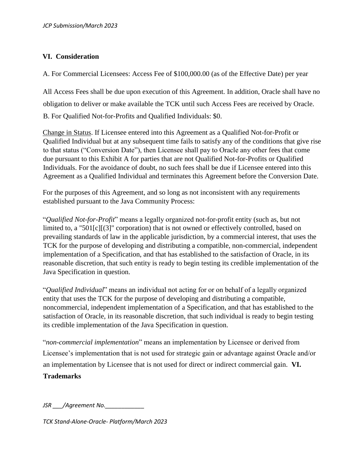#### **VI. Consideration**

A. For Commercial Licensees: Access Fee of \$100,000.00 (as of the Effective Date) per year

All Access Fees shall be due upon execution of this Agreement. In addition, Oracle shall have no obligation to deliver or make available the TCK until such Access Fees are received by Oracle. B. For Qualified Not-for-Profits and Qualified Individuals: \$0.

Change in Status. If Licensee entered into this Agreement as a Qualified Not-for-Profit or Qualified Individual but at any subsequent time fails to satisfy any of the conditions that give rise to that status ("Conversion Date"), then Licensee shall pay to Oracle any other fees that come due pursuant to this Exhibit A for parties that are not Qualified Not-for-Profits or Qualified Individuals. For the avoidance of doubt, no such fees shall be due if Licensee entered into this Agreement as a Qualified Individual and terminates this Agreement before the Conversion Date.

For the purposes of this Agreement, and so long as not inconsistent with any requirements established pursuant to the Java Community Process:

"*Qualified Not-for-Profit*" means a legally organized not-for-profit entity (such as, but not limited to, a "501[c][(3]" corporation) that is not owned or effectively controlled, based on prevailing standards of law in the applicable jurisdiction, by a commercial interest, that uses the TCK for the purpose of developing and distributing a compatible, non-commercial, independent implementation of a Specification, and that has established to the satisfaction of Oracle, in its reasonable discretion, that such entity is ready to begin testing its credible implementation of the Java Specification in question.

"*Qualified Individual*" means an individual not acting for or on behalf of a legally organized entity that uses the TCK for the purpose of developing and distributing a compatible, noncommercial, independent implementation of a Specification, and that has established to the satisfaction of Oracle, in its reasonable discretion, that such individual is ready to begin testing its credible implementation of the Java Specification in question.

"*non-commercial implementation*" means an implementation by Licensee or derived from Licensee's implementation that is not used for strategic gain or advantage against Oracle and/or an implementation by Licensee that is not used for direct or indirect commercial gain. **VI. Trademarks** 

*JSR \_\_\_/Agreement No.\_\_\_\_\_\_\_\_\_\_\_\_*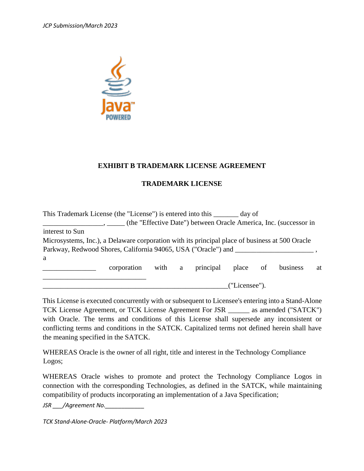

### **EXHIBIT B TRADEMARK LICENSE AGREEMENT**

### **TRADEMARK LICENSE**

| This Trademark License (the "License") is entered into this _______ day of                     |                                       |  |                                                                   |               |          |    |
|------------------------------------------------------------------------------------------------|---------------------------------------|--|-------------------------------------------------------------------|---------------|----------|----|
|                                                                                                |                                       |  | (the "Effective Date") between Oracle America, Inc. (successor in |               |          |    |
| interest to Sun                                                                                |                                       |  |                                                                   |               |          |    |
| Microsystems, Inc.), a Delaware corporation with its principal place of business at 500 Oracle |                                       |  |                                                                   |               |          |    |
| Parkway, Redwood Shores, California 94065, USA ("Oracle") and                                  |                                       |  |                                                                   |               |          |    |
| a                                                                                              |                                       |  |                                                                   |               |          |    |
|                                                                                                | corporation with a principal place of |  |                                                                   |               | business | at |
|                                                                                                |                                       |  |                                                                   | ("Licensee"). |          |    |

This License is executed concurrently with or subsequent to Licensee's entering into a Stand-Alone TCK License Agreement, or TCK License Agreement For JSR \_\_\_\_\_\_ as amended ("SATCK") with Oracle. The terms and conditions of this License shall supersede any inconsistent or conflicting terms and conditions in the SATCK. Capitalized terms not defined herein shall have the meaning specified in the SATCK.

WHEREAS Oracle is the owner of all right, title and interest in the Technology Compliance Logos;

WHEREAS Oracle wishes to promote and protect the Technology Compliance Logos in connection with the corresponding Technologies, as defined in the SATCK, while maintaining compatibility of products incorporating an implementation of a Java Specification;

*JSR \_\_\_/Agreement No.\_\_\_\_\_\_\_\_\_\_\_\_*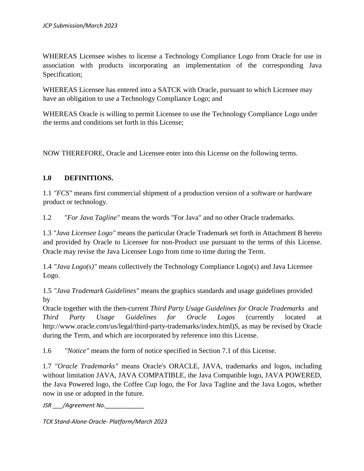WHEREAS Licensee wishes to license a Technology Compliance Logo from Oracle for use in association with products incorporating an implementation of the corresponding Java Specification;

WHEREAS Licensee has entered into a SATCK with Oracle, pursuant to which Licensee may have an obligation to use a Technology Compliance Logo; and

WHEREAS Oracle is willing to permit Licensee to use the Technology Compliance Logo under the terms and conditions set forth in this License;

NOW THEREFORE, Oracle and Licensee enter into this License on the following terms.

### **1.0 DEFINITIONS.**

1.1 *"FCS"* means first commercial shipment of a production version of a software or hardware product or technology.

1.2 *"For Java Tagline"* means the words "For Java" and no other Oracle trademarks.

1.3 *"Java Licensee Logo"* means the particular Oracle Trademark set forth in Attachment B hereto and provided by Oracle to Licensee for non-Product use pursuant to the terms of this License. Oracle may revise the Java Licensee Logo from time to time during the Term.

1.4 *"Java Logo(s)"* means collectively the Technology Compliance Logo(s) and Java Licensee Logo.

1.5 *"Java Trademark Guidelines"* means the graphics standards and usage guidelines provided by

Oracle together with the then-current *Third Party Usage Guidelines for Oracle Trademarks* and *Third Party Usage Guidelines for Oracle Logos* (currently located at http://www.oracle.com/us/legal/third-party-trademarks/index.html)*S*, as may be revised by Oracle during the Term, and which are incorporated by reference into this License.

1.6 *"Notice"* means the form of notice specified in Section 7.1 of this License.

1.7 *"Oracle Trademarks"* means Oracle's ORACLE, JAVA, trademarks and logos, including without limitation JAVA, JAVA COMPATIBLE, the Java Compatible logo, JAVA POWERED, the Java Powered logo, the Coffee Cup logo, the For Java Tagline and the Java Logos, whether now in use or adopted in the future.

*JSR \_\_\_/Agreement No.\_\_\_\_\_\_\_\_\_\_\_\_*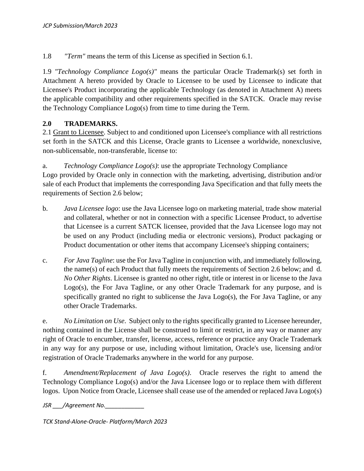1.8 *"Term"* means the term of this License as specified in Section 6.1.

1.9 *"Technology Compliance Logo(s)"* means the particular Oracle Trademark(s) set forth in Attachment A hereto provided by Oracle to Licensee to be used by Licensee to indicate that Licensee's Product incorporating the applicable Technology (as denoted in Attachment A) meets the applicable compatibility and other requirements specified in the SATCK. Oracle may revise the Technology Compliance Logo(s) from time to time during the Term.

### **2.0 TRADEMARKS.**

2.1 Grant to Licensee. Subject to and conditioned upon Licensee's compliance with all restrictions set forth in the SATCK and this License, Oracle grants to Licensee a worldwide, nonexclusive, non-sublicensable, non-transferable, license to:

a. *Technology Compliance Logo(s)*: use the appropriate Technology Compliance Logo provided by Oracle only in connection with the marketing, advertising, distribution and/or sale of each Product that implements the corresponding Java Specification and that fully meets the requirements of Section 2.6 below;

- b. *Java Licensee logo*: use the Java Licensee logo on marketing material, trade show material and collateral, whether or not in connection with a specific Licensee Product, to advertise that Licensee is a current SATCK licensee, provided that the Java Licensee logo may not be used on any Product (including media or electronic versions), Product packaging or Product documentation or other items that accompany Licensee's shipping containers;
- c. *For Java Tagline*: use the For Java Tagline in conjunction with, and immediately following, the name(s) of each Product that fully meets the requirements of Section 2.6 below; and d. *No Other Rights*. Licensee is granted no other right, title or interest in or license to the Java Logo(s), the For Java Tagline, or any other Oracle Trademark for any purpose, and is specifically granted no right to sublicense the Java Logo(s), the For Java Tagline, or any other Oracle Trademarks.

e. *No Limitation on Use*. Subject only to the rights specifically granted to Licensee hereunder, nothing contained in the License shall be construed to limit or restrict, in any way or manner any right of Oracle to encumber, transfer, license, access, reference or practice any Oracle Trademark in any way for any purpose or use, including without limitation, Oracle's use, licensing and/or registration of Oracle Trademarks anywhere in the world for any purpose.

f. *Amendment/Replacement of Java Logo(s)*. Oracle reserves the right to amend the Technology Compliance Logo(s) and/or the Java Licensee logo or to replace them with different logos. Upon Notice from Oracle, Licensee shall cease use of the amended or replaced Java Logo(s)

*JSR \_\_\_/Agreement No.\_\_\_\_\_\_\_\_\_\_\_\_*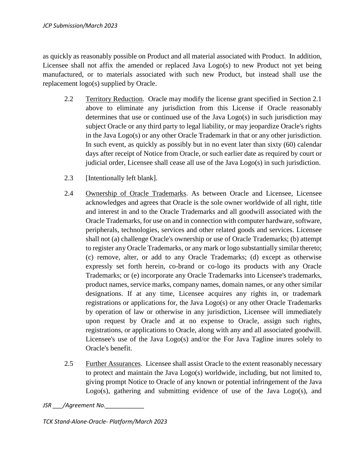#### *JCP Submission/March 2023*

as quickly as reasonably possible on Product and all material associated with Product. In addition, Licensee shall not affix the amended or replaced Java Logo(s) to new Product not yet being manufactured, or to materials associated with such new Product, but instead shall use the replacement logo(s) supplied by Oracle.

- 2.2 Territory Reduction. Oracle may modify the license grant specified in Section 2.1 above to eliminate any jurisdiction from this License if Oracle reasonably determines that use or continued use of the Java Logo(s) in such jurisdiction may subject Oracle or any third party to legal liability, or may jeopardize Oracle's rights in the Java Logo(s) or any other Oracle Trademark in that or any other jurisdiction. In such event, as quickly as possibly but in no event later than sixty (60) calendar days after receipt of Notice from Oracle, or such earlier date as required by court or judicial order, Licensee shall cease all use of the Java Logo(s) in such jurisdiction.
- 2.3 [Intentionally left blank].
- 2.4 Ownership of Oracle Trademarks. As between Oracle and Licensee, Licensee acknowledges and agrees that Oracle is the sole owner worldwide of all right, title and interest in and to the Oracle Trademarks and all goodwill associated with the Oracle Trademarks, for use on and in connection with computer hardware, software, peripherals, technologies, services and other related goods and services. Licensee shall not (a) challenge Oracle's ownership or use of Oracle Trademarks; (b) attempt to register any Oracle Trademarks, or any mark or logo substantially similar thereto; (c) remove, alter, or add to any Oracle Trademarks; (d) except as otherwise expressly set forth herein, co-brand or co-logo its products with any Oracle Trademarks; or (e) incorporate any Oracle Trademarks into Licensee's trademarks, product names, service marks, company names, domain names, or any other similar designations. If at any time, Licensee acquires any rights in, or trademark registrations or applications for, the Java Logo(s) or any other Oracle Trademarks by operation of law or otherwise in any jurisdiction, Licensee will immediately upon request by Oracle and at no expense to Oracle, assign such rights, registrations, or applications to Oracle, along with any and all associated goodwill. Licensee's use of the Java Logo(s) and/or the For Java Tagline inures solely to Oracle's benefit.
- 2.5 Further Assurances. Licensee shall assist Oracle to the extent reasonably necessary to protect and maintain the Java Logo(s) worldwide, including, but not limited to, giving prompt Notice to Oracle of any known or potential infringement of the Java Logo(s), gathering and submitting evidence of use of the Java Logo(s), and

*JSR \_\_\_/Agreement No.\_\_\_\_\_\_\_\_\_\_\_\_*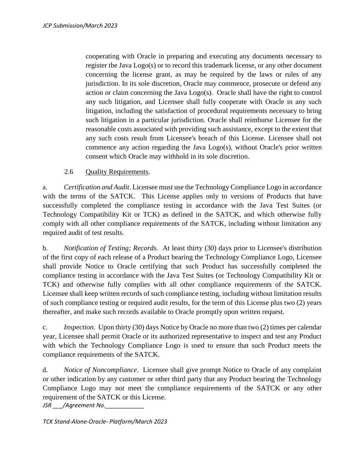cooperating with Oracle in preparing and executing any documents necessary to register the Java Logo(s) or to record this trademark license, or any other document concerning the license grant, as may be required by the laws or rules of any jurisdiction. In its sole discretion, Oracle may commence, prosecute or defend any action or claim concerning the Java Logo(s). Oracle shall have the right to control any such litigation, and Licensee shall fully cooperate with Oracle in any such litigation, including the satisfaction of procedural requirements necessary to bring such litigation in a particular jurisdiction. Oracle shall reimburse Licensee for the reasonable costs associated with providing such assistance, except to the extent that any such costs result from Licensee's breach of this License. Licensee shall not commence any action regarding the Java Logo(s), without Oracle's prior written consent which Oracle may withhold in its sole discretion.

## 2.6 Ouality Requirements.

a. *Certification and Audit*. Licensee must use the Technology Compliance Logo in accordance with the terms of the SATCK. This License applies only to versions of Products that have successfully completed the compliance testing in accordance with the Java Test Suites (or Technology Compatibility Kit or TCK) as defined in the SATCK, and which otherwise fully comply with all other compliance requirements of the SATCK, including without limitation any required audit of test results.

b. *Notification of Testing; Records.* At least thirty (30) days prior to Licensee's distribution of the first copy of each release of a Product bearing the Technology Compliance Logo, Licensee shall provide Notice to Oracle certifying that such Product has successfully completed the compliance testing in accordance with the Java Test Suites (or Technology Compatibility Kit or TCK) and otherwise fully complies with all other compliance requirements of the SATCK. Licensee shall keep written records of such compliance testing, including without limitation results of such compliance testing or required audit results, for the term of this License plus two (2) years thereafter, and make such records available to Oracle promptly upon written request.

c. *Inspection*. Upon thirty (30) days Notice by Oracle no more than two (2) times per calendar year, Licensee shall permit Oracle or its authorized representative to inspect and test any Product with which the Technology Compliance Logo is used to ensure that such Product meets the compliance requirements of the SATCK.

d. *Notice of Noncompliance*. Licensee shall give prompt Notice to Oracle of any complaint or other indication by any customer or other third party that any Product bearing the Technology Compliance Logo may not meet the compliance requirements of the SATCK or any other requirement of the SATCK or this License.

*JSR \_\_\_/Agreement No.\_\_\_\_\_\_\_\_\_\_\_\_*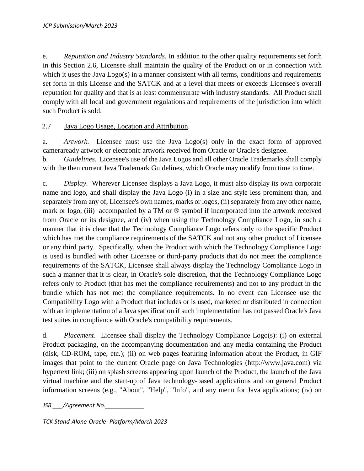e. *Reputation and Industry Standards*. In addition to the other quality requirements set forth in this Section 2.6, Licensee shall maintain the quality of the Product on or in connection with which it uses the Java Logo(s) in a manner consistent with all terms, conditions and requirements set forth in this License and the SATCK and at a level that meets or exceeds Licensee's overall reputation for quality and that is at least commensurate with industry standards. All Product shall comply with all local and government regulations and requirements of the jurisdiction into which such Product is sold.

### 2.7 Java Logo Usage, Location and Attribution.

a. *Artwork*. Licensee must use the Java Logo(s) only in the exact form of approved cameraready artwork or electronic artwork received from Oracle or Oracle's designee.

b. *Guidelines*. Licensee's use of the Java Logos and all other Oracle Trademarks shall comply with the then current Java Trademark Guidelines, which Oracle may modify from time to time.

c. *Display*. Wherever Licensee displays a Java Logo, it must also display its own corporate name and logo, and shall display the Java Logo (i) in a size and style less prominent than, and separately from any of, Licensee's own names, marks or logos, (ii) separately from any other name, mark or logo, (iii) accompanied by a TM or  $\mathcal D$  symbol if incorporated into the artwork received from Oracle or its designee, and (iv) when using the Technology Compliance Logo, in such a manner that it is clear that the Technology Compliance Logo refers only to the specific Product which has met the compliance requirements of the SATCK and not any other product of Licensee or any third party. Specifically, when the Product with which the Technology Compliance Logo is used is bundled with other Licensee or third-party products that do not meet the compliance requirements of the SATCK, Licensee shall always display the Technology Compliance Logo in such a manner that it is clear, in Oracle's sole discretion, that the Technology Compliance Logo refers only to Product (that has met the compliance requirements) and not to any product in the bundle which has not met the compliance requirements. In no event can Licensee use the Compatibility Logo with a Product that includes or is used, marketed or distributed in connection with an implementation of a Java specification if such implementation has not passed Oracle's Java test suites in compliance with Oracle's compatibility requirements.

d. *Placement*. Licensee shall display the Technology Compliance Logo(s): (i) on external Product packaging, on the accompanying documentation and any media containing the Product (disk, CD-ROM, tape, etc.); (ii) on web pages featuring information about the Product, in GIF images that point to the current Oracle page on Java Technologies (http://www.java.com) via hypertext link; (iii) on splash screens appearing upon launch of the Product, the launch of the Java virtual machine and the start-up of Java technology-based applications and on general Product information screens (e.g., "About", "Help", "Info", and any menu for Java applications; (iv) on

*JSR \_\_\_/Agreement No.\_\_\_\_\_\_\_\_\_\_\_\_*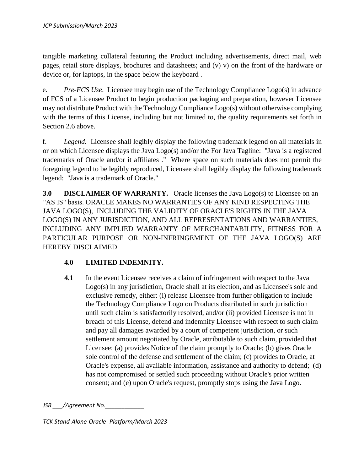tangible marketing collateral featuring the Product including advertisements, direct mail, web pages, retail store displays, brochures and datasheets; and (v) v) on the front of the hardware or device or, for laptops, in the space below the keyboard .

e. *Pre-FCS Use*. Licensee may begin use of the Technology Compliance Logo(s) in advance of FCS of a Licensee Product to begin production packaging and preparation, however Licensee may not distribute Product with the Technology Compliance Logo(s) without otherwise complying with the terms of this License, including but not limited to, the quality requirements set forth in Section 2.6 above.

f. *Legend*. Licensee shall legibly display the following trademark legend on all materials in or on which Licensee displays the Java Logo(s) and/or the For Java Tagline: "Java is a registered trademarks of Oracle and/or it affiliates ." Where space on such materials does not permit the foregoing legend to be legibly reproduced, Licensee shall legibly display the following trademark legend: "Java is a trademark of Oracle."

**3.0 DISCLAIMER OF WARRANTY.** Oracle licenses the Java Logo(s) to Licensee on an "AS IS" basis. ORACLE MAKES NO WARRANTIES OF ANY KIND RESPECTING THE JAVA LOGO(S), INCLUDING THE VALIDITY OF ORACLE'S RIGHTS IN THE JAVA LOGO(S) IN ANY JURISDICTION, AND ALL REPRESENTATIONS AND WARRANTIES, INCLUDING ANY IMPLIED WARRANTY OF MERCHANTABILITY, FITNESS FOR A PARTICULAR PURPOSE OR NON-INFRINGEMENT OF THE JAVA LOGO(S) ARE HEREBY DISCLAIMED.

## **4.0 LIMITED INDEMNITY.**

**4.1** In the event Licensee receives a claim of infringement with respect to the Java Logo(s) in any jurisdiction, Oracle shall at its election, and as Licensee's sole and exclusive remedy, either: (i) release Licensee from further obligation to include the Technology Compliance Logo on Products distributed in such jurisdiction until such claim is satisfactorily resolved, and/or (ii) provided Licensee is not in breach of this License, defend and indemnify Licensee with respect to such claim and pay all damages awarded by a court of competent jurisdiction, or such settlement amount negotiated by Oracle, attributable to such claim, provided that Licensee: (a) provides Notice of the claim promptly to Oracle; (b) gives Oracle sole control of the defense and settlement of the claim; (c) provides to Oracle, at Oracle's expense, all available information, assistance and authority to defend; (d) has not compromised or settled such proceeding without Oracle's prior written consent; and (e) upon Oracle's request, promptly stops using the Java Logo.

*JSR \_\_\_/Agreement No.\_\_\_\_\_\_\_\_\_\_\_\_*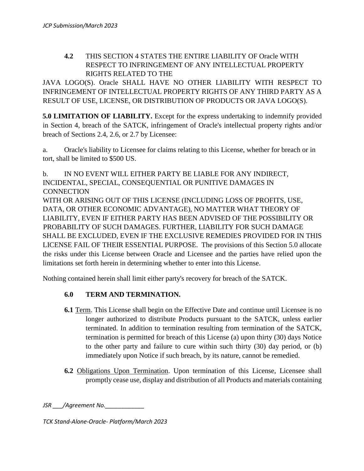**4.2** THIS SECTION 4 STATES THE ENTIRE LIABILITY OF Oracle WITH RESPECT TO INFRINGEMENT OF ANY INTELLECTUAL PROPERTY RIGHTS RELATED TO THE

JAVA LOGO(S). Oracle SHALL HAVE NO OTHER LIABILITY WITH RESPECT TO INFRINGEMENT OF INTELLECTUAL PROPERTY RIGHTS OF ANY THIRD PARTY AS A RESULT OF USE, LICENSE, OR DISTRIBUTION OF PRODUCTS OR JAVA LOGO(S).

**5.0 LIMITATION OF LIABILITY.** Except for the express undertaking to indemnify provided in Section 4, breach of the SATCK, infringement of Oracle's intellectual property rights and/or breach of Sections 2.4, 2.6, or 2.7 by Licensee:

a. Oracle's liability to Licensee for claims relating to this License, whether for breach or in tort, shall be limited to \$500 US.

b. IN NO EVENT WILL EITHER PARTY BE LIABLE FOR ANY INDIRECT, INCIDENTAL, SPECIAL, CONSEQUENTIAL OR PUNITIVE DAMAGES IN **CONNECTION** 

WITH OR ARISING OUT OF THIS LICENSE (INCLUDING LOSS OF PROFITS, USE, DATA, OR OTHER ECONOMIC ADVANTAGE), NO MATTER WHAT THEORY OF LIABILITY, EVEN IF EITHER PARTY HAS BEEN ADVISED OF THE POSSIBILITY OR PROBABILITY OF SUCH DAMAGES. FURTHER, LIABILITY FOR SUCH DAMAGE SHALL BE EXCLUDED, EVEN IF THE EXCLUSIVE REMEDIES PROVIDED FOR IN THIS LICENSE FAIL OF THEIR ESSENTIAL PURPOSE. The provisions of this Section 5.0 allocate the risks under this License between Oracle and Licensee and the parties have relied upon the limitations set forth herein in determining whether to enter into this License.

Nothing contained herein shall limit either party's recovery for breach of the SATCK.

## **6.0 TERM AND TERMINATION.**

- **6.1** Term. This License shall begin on the Effective Date and continue until Licensee is no longer authorized to distribute Products pursuant to the SATCK, unless earlier terminated. In addition to termination resulting from termination of the SATCK, termination is permitted for breach of this License (a) upon thirty (30) days Notice to the other party and failure to cure within such thirty (30) day period, or (b) immediately upon Notice if such breach, by its nature, cannot be remedied.
- **6.2** Obligations Upon Termination. Upon termination of this License, Licensee shall promptly cease use, display and distribution of all Products and materials containing

*JSR \_\_\_/Agreement No.\_\_\_\_\_\_\_\_\_\_\_\_*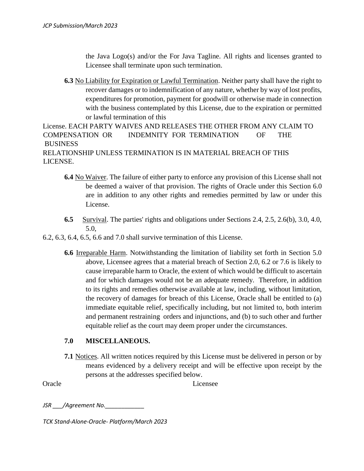the Java Logo(s) and/or the For Java Tagline. All rights and licenses granted to Licensee shall terminate upon such termination.

**6.3** No Liability for Expiration or Lawful Termination. Neither party shall have the right to recover damages or to indemnification of any nature, whether by way of lost profits, expenditures for promotion, payment for goodwill or otherwise made in connection with the business contemplated by this License, due to the expiration or permitted or lawful termination of this

License. EACH PARTY WAIVES AND RELEASES THE OTHER FROM ANY CLAIM TO COMPENSATION OR INDEMNITY FOR TERMINATION OF THE **BUSINESS** RELATIONSHIP UNLESS TERMINATION IS IN MATERIAL BREACH OF THIS LICENSE.

- **6.4** No Waiver. The failure of either party to enforce any provision of this License shall not be deemed a waiver of that provision. The rights of Oracle under this Section 6.0 are in addition to any other rights and remedies permitted by law or under this License.
- **6.5** Survival. The parties' rights and obligations under Sections 2.4, 2.5, 2.6(b), 3.0, 4.0, 5.0,

6.2, 6.3, 6.4, 6.5, 6.6 and 7.0 shall survive termination of this License.

**6.6** Irreparable Harm. Notwithstanding the limitation of liability set forth in Section 5.0 above, Licensee agrees that a material breach of Section 2.0, 6.2 or 7.6 is likely to cause irreparable harm to Oracle, the extent of which would be difficult to ascertain and for which damages would not be an adequate remedy. Therefore, in addition to its rights and remedies otherwise available at law, including, without limitation, the recovery of damages for breach of this License, Oracle shall be entitled to (a) immediate equitable relief, specifically including, but not limited to, both interim and permanent restraining orders and injunctions, and (b) to such other and further equitable relief as the court may deem proper under the circumstances.

#### **7.0 MISCELLANEOUS.**

**7.1** Notices. All written notices required by this License must be delivered in person or by means evidenced by a delivery receipt and will be effective upon receipt by the persons at the addresses specified below.

Oracle Licensee

*JSR \_\_\_/Agreement No.\_\_\_\_\_\_\_\_\_\_\_\_*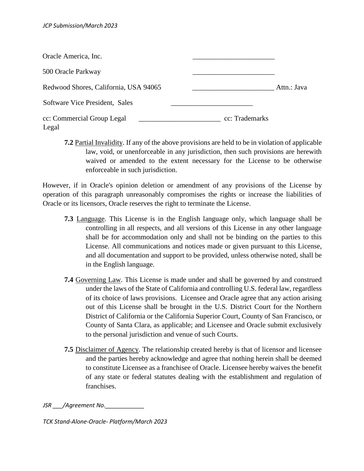| Oracle America, Inc.                  |                |             |
|---------------------------------------|----------------|-------------|
| 500 Oracle Parkway                    |                |             |
| Redwood Shores, California, USA 94065 |                | Attn.: Java |
| Software Vice President, Sales        |                |             |
| cc: Commercial Group Legal<br>Legal   | cc: Trademarks |             |

**7.2** Partial Invalidity. If any of the above provisions are held to be in violation of applicable law, void, or unenforceable in any jurisdiction, then such provisions are herewith waived or amended to the extent necessary for the License to be otherwise enforceable in such jurisdiction.

However, if in Oracle's opinion deletion or amendment of any provisions of the License by operation of this paragraph unreasonably compromises the rights or increase the liabilities of Oracle or its licensors, Oracle reserves the right to terminate the License.

- **7.3** Language. This License is in the English language only, which language shall be controlling in all respects, and all versions of this License in any other language shall be for accommodation only and shall not be binding on the parties to this License. All communications and notices made or given pursuant to this License, and all documentation and support to be provided, unless otherwise noted, shall be in the English language.
- **7.4** Governing Law. This License is made under and shall be governed by and construed under the laws of the State of California and controlling U.S. federal law, regardless of its choice of laws provisions. Licensee and Oracle agree that any action arising out of this License shall be brought in the U.S. District Court for the Northern District of California or the California Superior Court, County of San Francisco, or County of Santa Clara, as applicable; and Licensee and Oracle submit exclusively to the personal jurisdiction and venue of such Courts.
- **7.5** Disclaimer of Agency. The relationship created hereby is that of licensor and licensee and the parties hereby acknowledge and agree that nothing herein shall be deemed to constitute Licensee as a franchisee of Oracle. Licensee hereby waives the benefit of any state or federal statutes dealing with the establishment and regulation of franchises.

*JSR \_\_\_/Agreement No.\_\_\_\_\_\_\_\_\_\_\_\_*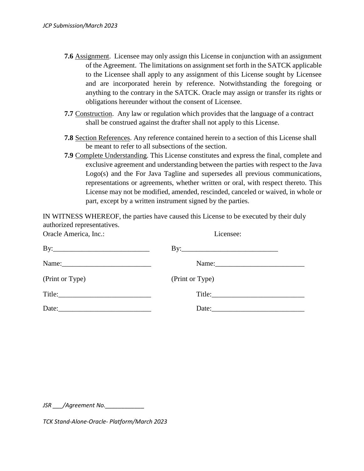- **7.6** Assignment. Licensee may only assign this License in conjunction with an assignment of the Agreement. The limitations on assignment set forth in the SATCK applicable to the Licensee shall apply to any assignment of this License sought by Licensee and are incorporated herein by reference. Notwithstanding the foregoing or anything to the contrary in the SATCK. Oracle may assign or transfer its rights or obligations hereunder without the consent of Licensee.
- **7.7** Construction. Any law or regulation which provides that the language of a contract shall be construed against the drafter shall not apply to this License.
- **7.8** Section References. Any reference contained herein to a section of this License shall be meant to refer to all subsections of the section.
- **7.9** Complete Understanding. This License constitutes and express the final, complete and exclusive agreement and understanding between the parties with respect to the Java Logo(s) and the For Java Tagline and supersedes all previous communications, representations or agreements, whether written or oral, with respect thereto. This License may not be modified, amended, rescinded, canceled or waived, in whole or part, except by a written instrument signed by the parties.

IN WITNESS WHEREOF, the parties have caused this License to be executed by their duly authorized representatives. Oracle America, Inc.: Licensee:

| LIVUIDUV.       |
|-----------------|
| By:             |
|                 |
| (Print or Type) |
| Title: Title:   |
| Date:           |
|                 |

*JSR \_\_\_/Agreement No.\_\_\_\_\_\_\_\_\_\_\_\_*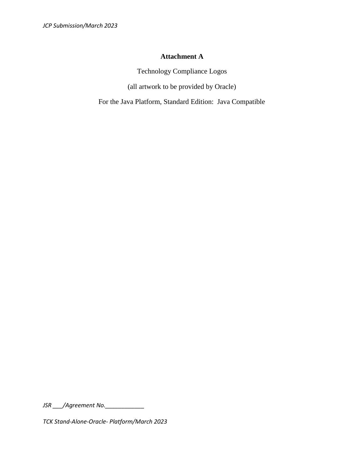## **Attachment A**

Technology Compliance Logos

(all artwork to be provided by Oracle)

For the Java Platform, Standard Edition: Java Compatible

*JSR \_\_\_/Agreement No.\_\_\_\_\_\_\_\_\_\_\_\_*